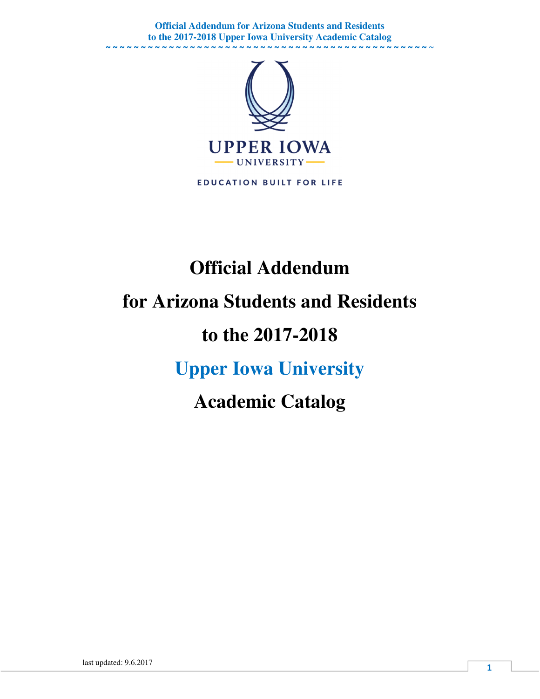**Official Addendum for Arizona Students and Residents to the 2017-2018 Upper Iowa University Academic Catalog**  ~ ~ ~ ~ ~ ~ ~ ~ ~ ~ ~ ~ ~ ~ ~ ~ ~ ~ ~ ~ ~ ~ ~ ~ ~ ~ ~ ~ ~ ~ ~ ~ ~ ~ ~ ~ ~ ~ ~ ~ ~ ~ ~ ~ ~ ~ ~



**EDUCATION BUILT FOR LIFE** 

# **Official Addendum for Arizona Students and Residents to the 2017-2018 Upper Iowa University Academic Catalog**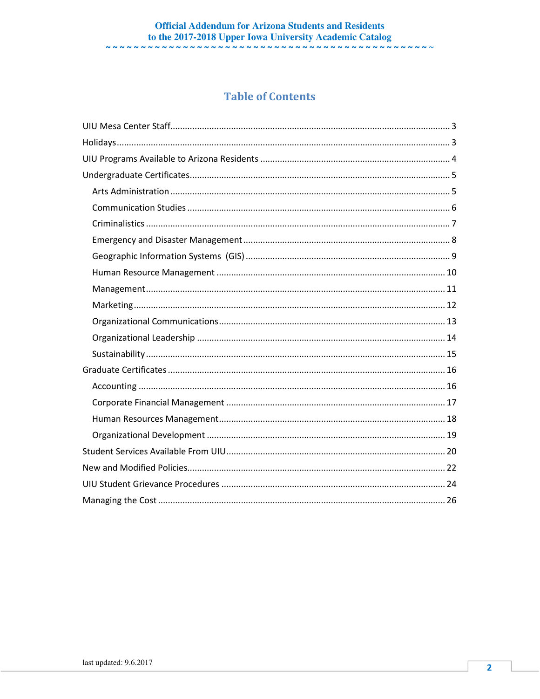#### **Official Addendum for Arizona Students and Residents** to the 2017-2018 Upper Iowa University Academic Catalog

### **Table of Contents**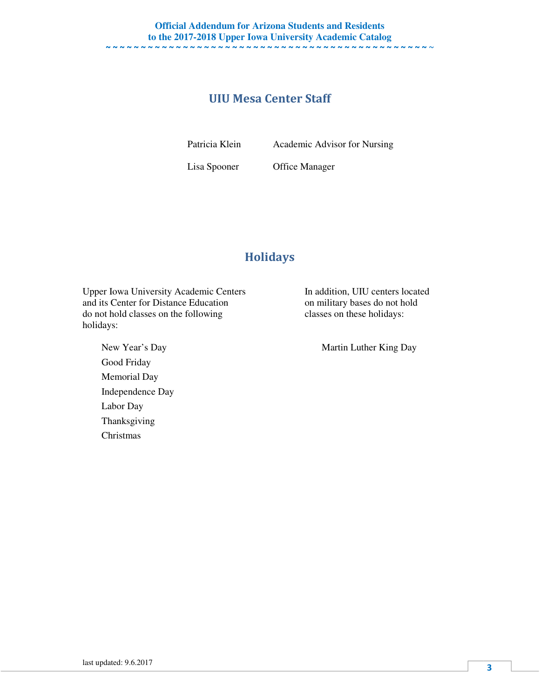### UIU Mesa Center Staff

Patricia Klein Academic Advisor for Nursing

Lisa Spooner Office Manager

### Holidays

Upper Iowa University Academic Centers In addition, UIU centers located and its Center for Distance Education on military bases do not hold do not hold classes on the following classes on these holidays: holidays:

Good Friday Memorial Day Independence Day Labor Day Thanksgiving Christmas

New Year's Day Martin Luther King Day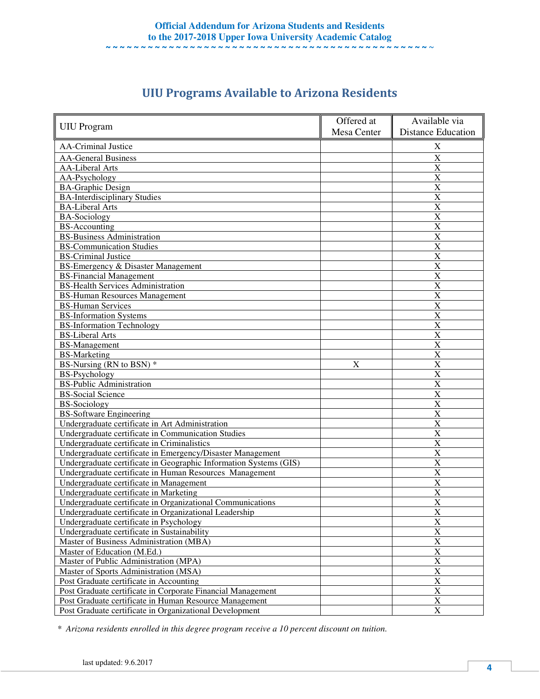|                                                                   | Offered at  | Available via             |
|-------------------------------------------------------------------|-------------|---------------------------|
| <b>UIU</b> Program                                                | Mesa Center | <b>Distance Education</b> |
| <b>AA-Criminal Justice</b>                                        |             | X                         |
| <b>AA-General Business</b>                                        |             | $\overline{\text{X}}$     |
| <b>AA-Liberal Arts</b>                                            |             | X                         |
| AA-Psychology                                                     |             | X                         |
| <b>BA-Graphic Design</b>                                          |             | X                         |
| <b>BA-Interdisciplinary Studies</b>                               |             | X                         |
| <b>BA-Liberal Arts</b>                                            |             | X                         |
| <b>BA-Sociology</b>                                               |             | X                         |
| <b>BS-Accounting</b>                                              |             | $\overline{\text{X}}$     |
| <b>BS-Business Administration</b>                                 |             | $\boldsymbol{\mathrm{X}}$ |
| <b>BS-Communication Studies</b>                                   |             | X                         |
| <b>BS-Criminal Justice</b>                                        |             | X                         |
| BS-Emergency & Disaster Management                                |             | X                         |
| <b>BS-Financial Management</b>                                    |             | X                         |
| <b>BS-Health Services Administration</b>                          |             | X                         |
| <b>BS-Human Resources Management</b>                              |             | X                         |
| <b>BS-Human Services</b>                                          |             | X                         |
| <b>BS-Information Systems</b>                                     |             | X                         |
| <b>BS-Information Technology</b>                                  |             | $\boldsymbol{\mathrm{X}}$ |
| <b>BS-Liberal Arts</b>                                            |             | X                         |
| <b>BS-Management</b>                                              |             | X                         |
| <b>BS-Marketing</b>                                               |             | $\overline{\text{X}}$     |
| BS-Nursing (RN to BSN) *                                          | X           | X                         |
| <b>BS-Psychology</b>                                              |             | $\overline{\text{X}}$     |
| <b>BS-Public Administration</b>                                   |             | X                         |
| <b>BS-Social Science</b>                                          |             | X                         |
| <b>BS-Sociology</b>                                               |             | X                         |
| <b>BS-Software Engineering</b>                                    |             | X                         |
| Undergraduate certificate in Art Administration                   |             | $\overline{\text{X}}$     |
| Undergraduate certificate in Communication Studies                |             | X                         |
| Undergraduate certificate in Criminalistics                       |             | $\overline{\text{X}}$     |
| Undergraduate certificate in Emergency/Disaster Management        |             | X                         |
| Undergraduate certificate in Geographic Information Systems (GIS) |             | X                         |
| Undergraduate certificate in Human Resources Management           |             | X                         |
| Undergraduate certificate in Management                           |             | X                         |
| Undergraduate certificate in Marketing                            |             | X                         |
| Undergraduate certificate in Organizational Communications        |             | X                         |
| Undergraduate certificate in Organizational Leadership            |             | X                         |
| Undergraduate certificate in Psychology                           |             | $\overline{\mathbf{X}}$   |
| Undergraduate certificate in Sustainability                       |             | $\mathbf X$               |
| Master of Business Administration (MBA)                           |             | $\mathbf X$               |
| Master of Education (M.Ed.)                                       |             | $\overline{\text{X}}$     |
| Master of Public Administration (MPA)                             |             | X                         |
| Master of Sports Administration (MSA)                             |             | $\overline{\mathbf{X}}$   |
| Post Graduate certificate in Accounting                           |             | $\overline{\text{X}}$     |
| Post Graduate certificate in Corporate Financial Management       |             | $\mathbf X$               |
| Post Graduate certificate in Human Resource Management            |             | X                         |
| Post Graduate certificate in Organizational Development           |             | X                         |

# UIU Programs Available to Arizona Residents

*\* Arizona residents enrolled in this degree program receive a 10 percent discount on tuition.*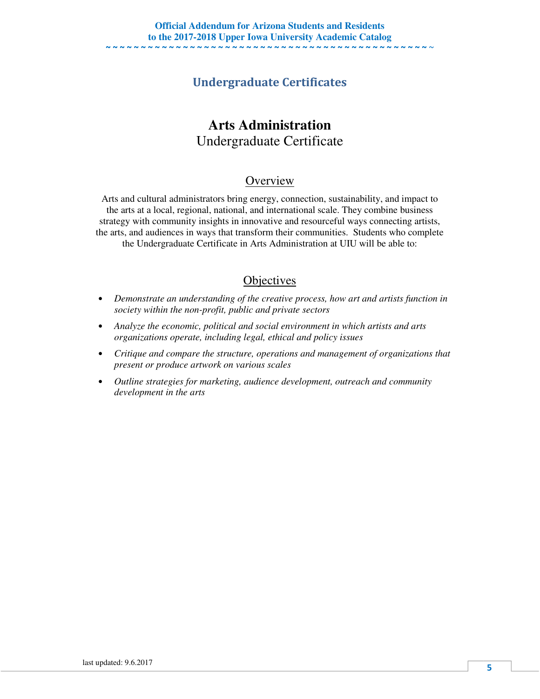### Undergraduate Certificates

# **Arts Administration**  Undergraduate Certificate

### **Overview**

Arts and cultural administrators bring energy, connection, sustainability, and impact to the arts at a local, regional, national, and international scale. They combine business strategy with community insights in innovative and resourceful ways connecting artists, the arts, and audiences in ways that transform their communities. Students who complete the Undergraduate Certificate in Arts Administration at UIU will be able to:

- *Demonstrate an understanding of the creative process, how art and artists function in society within the non-profit, public and private sectors*
- *Analyze the economic, political and social environment in which artists and arts organizations operate, including legal, ethical and policy issues*
- *Critique and compare the structure, operations and management of organizations that present or produce artwork on various scales*
- *Outline strategies for marketing, audience development, outreach and community development in the arts*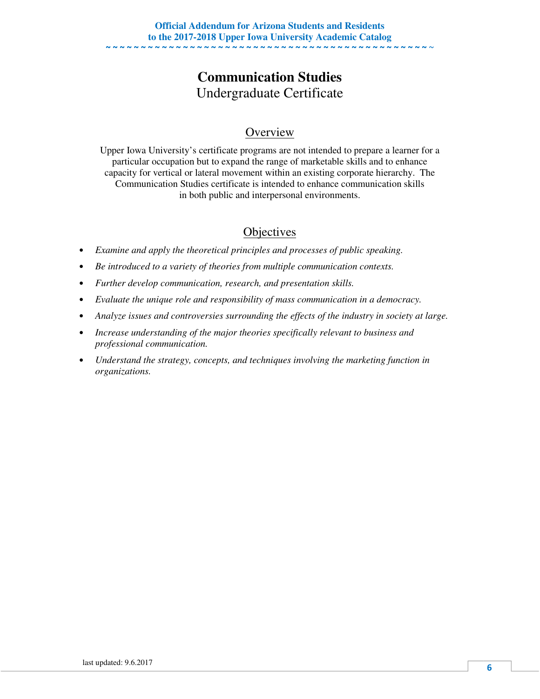# **Communication Studies**  Undergraduate Certificate

### **Overview**

Upper Iowa University's certificate programs are not intended to prepare a learner for a particular occupation but to expand the range of marketable skills and to enhance capacity for vertical or lateral movement within an existing corporate hierarchy. The Communication Studies certificate is intended to enhance communication skills in both public and interpersonal environments.

- *Examine and apply the theoretical principles and processes of public speaking.*
- *Be introduced to a variety of theories from multiple communication contexts.*
- *Further develop communication, research, and presentation skills.*
- *Evaluate the unique role and responsibility of mass communication in a democracy.*
- *Analyze issues and controversies surrounding the effects of the industry in society at large.*
- *Increase understanding of the major theories specifically relevant to business and professional communication.*
- *Understand the strategy, concepts, and techniques involving the marketing function in organizations.*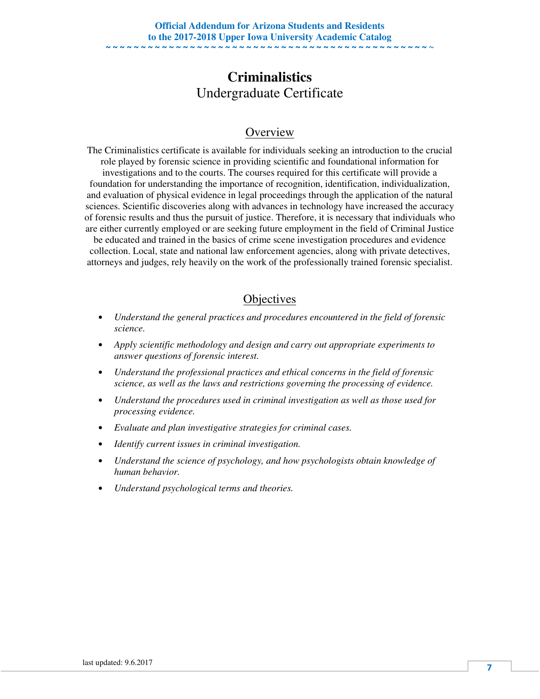### **Criminalistics**  Undergraduate Certificate

### **Overview**

The Criminalistics certificate is available for individuals seeking an introduction to the crucial role played by forensic science in providing scientific and foundational information for investigations and to the courts. The courses required for this certificate will provide a foundation for understanding the importance of recognition, identification, individualization, and evaluation of physical evidence in legal proceedings through the application of the natural sciences. Scientific discoveries along with advances in technology have increased the accuracy of forensic results and thus the pursuit of justice. Therefore, it is necessary that individuals who are either currently employed or are seeking future employment in the field of Criminal Justice be educated and trained in the basics of crime scene investigation procedures and evidence

collection. Local, state and national law enforcement agencies, along with private detectives, attorneys and judges, rely heavily on the work of the professionally trained forensic specialist.

- *Understand the general practices and procedures encountered in the field of forensic science.*
- *Apply scientific methodology and design and carry out appropriate experiments to answer questions of forensic interest.*
- *Understand the professional practices and ethical concerns in the field of forensic science, as well as the laws and restrictions governing the processing of evidence.*
- *Understand the procedures used in criminal investigation as well as those used for processing evidence.*
- *Evaluate and plan investigative strategies for criminal cases.*
- *Identify current issues in criminal investigation.*
- *Understand the science of psychology, and how psychologists obtain knowledge of human behavior.*
- *Understand psychological terms and theories.*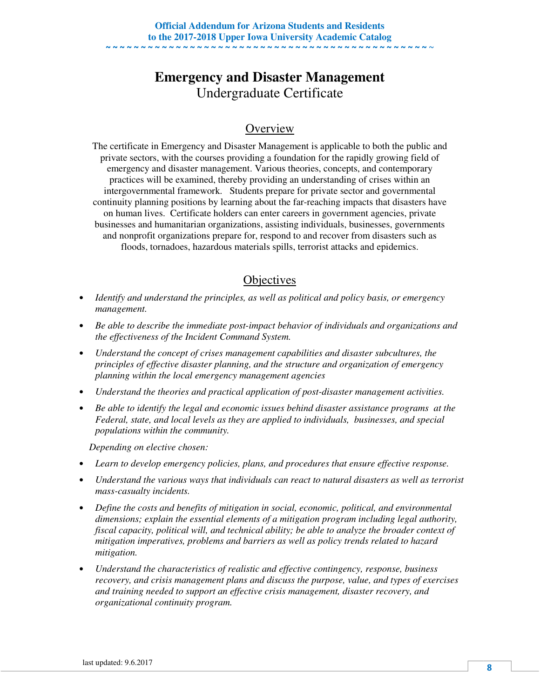# **Emergency and Disaster Management**  Undergraduate Certificate

### **Overview**

The certificate in Emergency and Disaster Management is applicable to both the public and private sectors, with the courses providing a foundation for the rapidly growing field of emergency and disaster management. Various theories, concepts, and contemporary practices will be examined, thereby providing an understanding of crises within an intergovernmental framework. Students prepare for private sector and governmental continuity planning positions by learning about the far-reaching impacts that disasters have on human lives. Certificate holders can enter careers in government agencies, private businesses and humanitarian organizations, assisting individuals, businesses, governments and nonprofit organizations prepare for, respond to and recover from disasters such as floods, tornadoes, hazardous materials spills, terrorist attacks and epidemics.

### **Objectives**

- *Identify and understand the principles, as well as political and policy basis, or emergency management.*
- *Be able to describe the immediate post-impact behavior of individuals and organizations and the effectiveness of the Incident Command System.*
- *Understand the concept of crises management capabilities and disaster subcultures, the principles of effective disaster planning, and the structure and organization of emergency planning within the local emergency management agencies*
- *Understand the theories and practical application of post-disaster management activities.*
- *Be able to identify the legal and economic issues behind disaster assistance programs at the Federal, state, and local levels as they are applied to individuals, businesses, and special populations within the community.*

 *Depending on elective chosen:* 

- *Learn to develop emergency policies, plans, and procedures that ensure effective response.*
- *Understand the various ways that individuals can react to natural disasters as well as terrorist mass-casualty incidents.*
- *Define the costs and benefits of mitigation in social, economic, political, and environmental dimensions; explain the essential elements of a mitigation program including legal authority, fiscal capacity, political will, and technical ability; be able to analyze the broader context of mitigation imperatives, problems and barriers as well as policy trends related to hazard mitigation.*
- *Understand the characteristics of realistic and effective contingency, response, business recovery, and crisis management plans and discuss the purpose, value, and types of exercises and training needed to support an effective crisis management, disaster recovery, and organizational continuity program.*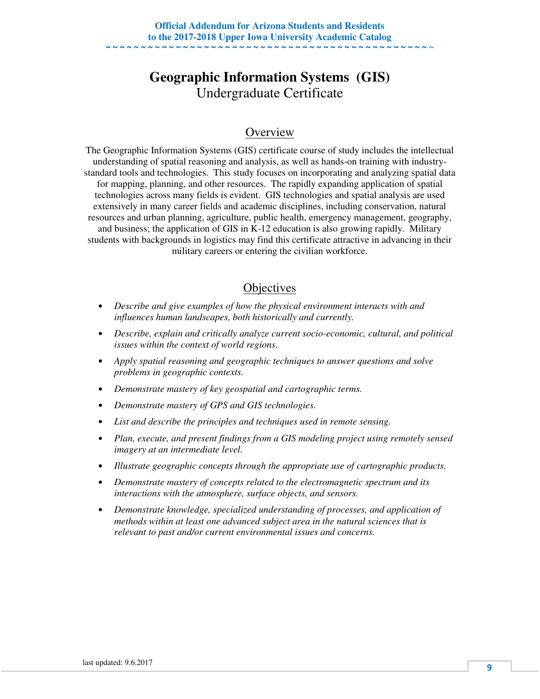### **Geographic Information Systems (GIS)**  Undergraduate Certificate

### **Overview**

The Geographic Information Systems (GIS) certificate course of study includes the intellectual understanding of spatial reasoning and analysis, as well as hands-on training with industrystandard tools and technologies. This study focuses on incorporating and analyzing spatial data for mapping, planning, and other resources. The rapidly expanding application of spatial technologies across many fields is evident. GIS technologies and spatial analysis are used extensively in many career fields and academic disciplines, including conservation, natural resources and urban planning, agriculture, public health, emergency management, geography, and business; the application of GIS in K-12 education is also growing rapidly. Military students with backgrounds in logistics may find this certificate attractive in advancing in their military careers or entering the civilian workforce.

- *Describe and give examples of how the physical environment interacts with and influences human landscapes, both historically and currently.*
- *Describe, explain and critically analyze current socio-economic, cultural, and political issues within the context of world regions.*
- *Apply spatial reasoning and geographic techniques to answer questions and solve problems in geographic contexts.*
- *Demonstrate mastery of key geospatial and cartographic terms.*
- *Demonstrate mastery of GPS and GIS technologies.*
- *List and describe the principles and techniques used in remote sensing.*
- *Plan, execute, and present findings from a GIS modeling project using remotely sensed imagery at an intermediate level.*
- *Illustrate geographic concepts through the appropriate use of cartographic products.*
- *Demonstrate mastery of concepts related to the electromagnetic spectrum and its interactions with the atmosphere, surface objects, and sensors.*
- *Demonstrate knowledge, specialized understanding of processes, and application of methods within at least one advanced subject area in the natural sciences that is relevant to past and/or current environmental issues and concerns.*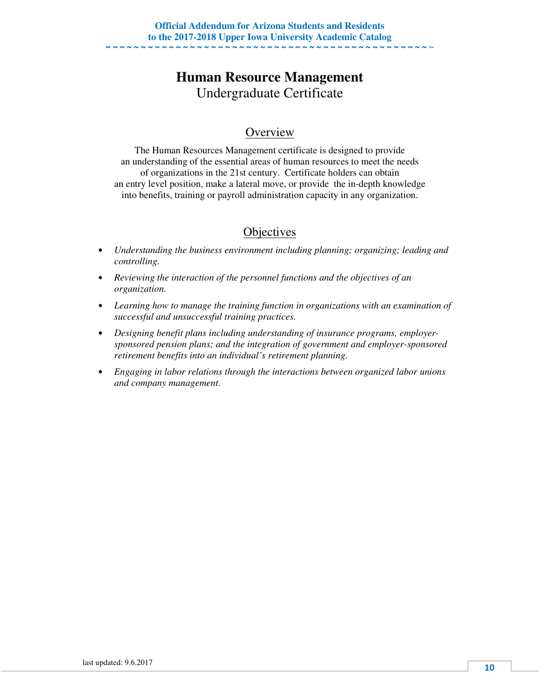# **Human Resource Management**  Undergraduate Certificate

### **Overview**

The Human Resources Management certificate is designed to provide an understanding of the essential areas of human resources to meet the needs of organizations in the 21st century. Certificate holders can obtain an entry level position, make a lateral move, or provide the in-depth knowledge into benefits, training or payroll administration capacity in any organization.

- *Understanding the business environment including planning; organizing; leading and controlling.*
- *Reviewing the interaction of the personnel functions and the objectives of an organization.*
- *Learning how to manage the training function in organizations with an examination of successful and unsuccessful training practices.*
- *Designing benefit plans including understanding of insurance programs, employersponsored pension plans; and the integration of government and employer-sponsored retirement benefits into an individual's retirement planning.*
- *Engaging in labor relations through the interactions between organized labor unions and company management.*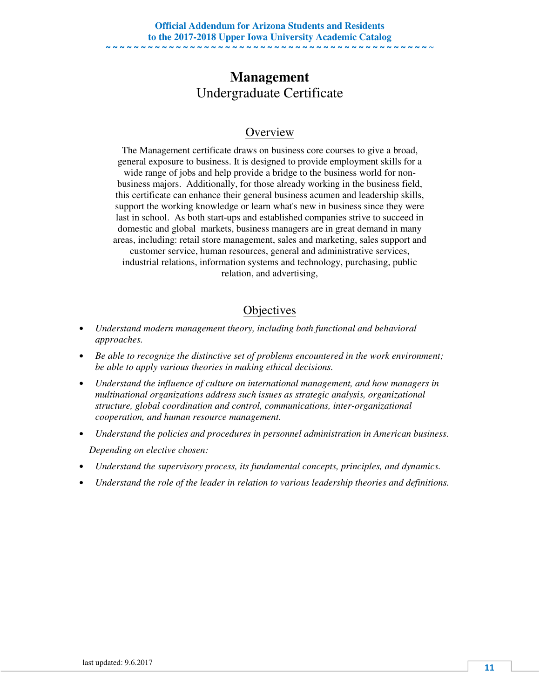### **Management**  Undergraduate Certificate

### **Overview**

The Management certificate draws on business core courses to give a broad, general exposure to business. It is designed to provide employment skills for a wide range of jobs and help provide a bridge to the business world for nonbusiness majors. Additionally, for those already working in the business field, this certificate can enhance their general business acumen and leadership skills, support the working knowledge or learn what's new in business since they were last in school. As both start-ups and established companies strive to succeed in domestic and global markets, business managers are in great demand in many areas, including: retail store management, sales and marketing, sales support and customer service, human resources, general and administrative services, industrial relations, information systems and technology, purchasing, public relation, and advertising,

- *Understand modern management theory, including both functional and behavioral approaches.*
- *Be able to recognize the distinctive set of problems encountered in the work environment; be able to apply various theories in making ethical decisions.*
- *Understand the influence of culture on international management, and how managers in multinational organizations address such issues as strategic analysis, organizational structure, global coordination and control, communications, inter-organizational cooperation, and human resource management.*
- *Understand the policies and procedures in personnel administration in American business. Depending on elective chosen:*
- *Understand the supervisory process, its fundamental concepts, principles, and dynamics.*
- *Understand the role of the leader in relation to various leadership theories and definitions.*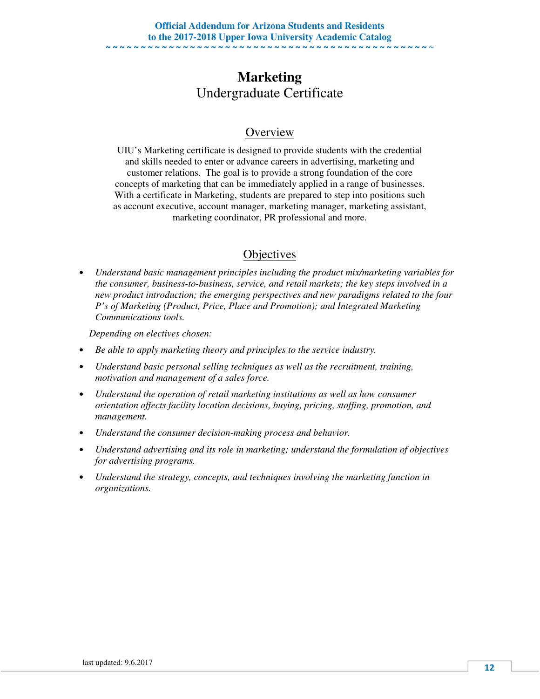## **Marketing**  Undergraduate Certificate

### **Overview**

UIU's Marketing certificate is designed to provide students with the credential and skills needed to enter or advance careers in advertising, marketing and customer relations. The goal is to provide a strong foundation of the core concepts of marketing that can be immediately applied in a range of businesses. With a certificate in Marketing, students are prepared to step into positions such as account executive, account manager, marketing manager, marketing assistant, marketing coordinator, PR professional and more.

### **Objectives**

• *Understand basic management principles including the product mix/marketing variables for the consumer, business-to-business, service, and retail markets; the key steps involved in a new product introduction; the emerging perspectives and new paradigms related to the four P's of Marketing (Product, Price, Place and Promotion); and Integrated Marketing Communications tools.* 

 *Depending on electives chosen:* 

- *Be able to apply marketing theory and principles to the service industry.*
- *Understand basic personal selling techniques as well as the recruitment, training, motivation and management of a sales force.*
- *Understand the operation of retail marketing institutions as well as how consumer orientation affects facility location decisions, buying, pricing, staffing, promotion, and management.*
- *Understand the consumer decision-making process and behavior.*
- *Understand advertising and its role in marketing; understand the formulation of objectives for advertising programs.*
- *Understand the strategy, concepts, and techniques involving the marketing function in organizations.*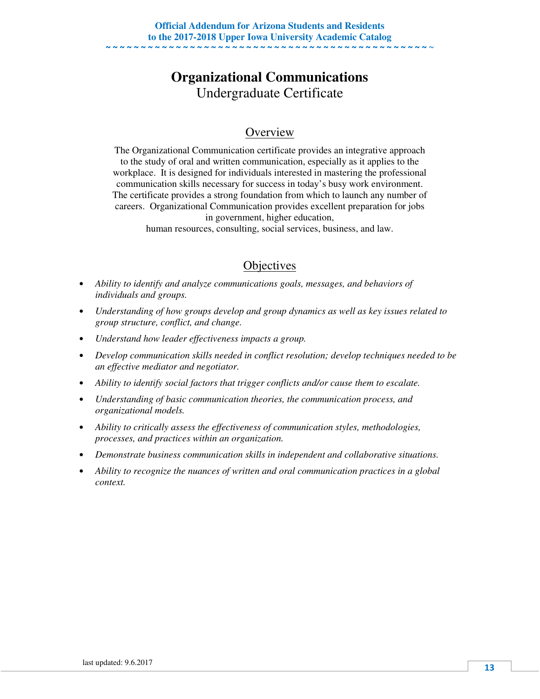# **Organizational Communications**  Undergraduate Certificate

### **Overview**

The Organizational Communication certificate provides an integrative approach to the study of oral and written communication, especially as it applies to the workplace. It is designed for individuals interested in mastering the professional communication skills necessary for success in today's busy work environment. The certificate provides a strong foundation from which to launch any number of careers. Organizational Communication provides excellent preparation for jobs in government, higher education,

human resources, consulting, social services, business, and law.

- *Ability to identify and analyze communications goals, messages, and behaviors of individuals and groups.*
- *Understanding of how groups develop and group dynamics as well as key issues related to group structure, conflict, and change.*
- *Understand how leader effectiveness impacts a group.*
- *Develop communication skills needed in conflict resolution; develop techniques needed to be an effective mediator and negotiator.*
- *Ability to identify social factors that trigger conflicts and/or cause them to escalate.*
- *Understanding of basic communication theories, the communication process, and organizational models.*
- *Ability to critically assess the effectiveness of communication styles, methodologies, processes, and practices within an organization.*
- *Demonstrate business communication skills in independent and collaborative situations.*
- *Ability to recognize the nuances of written and oral communication practices in a global context.*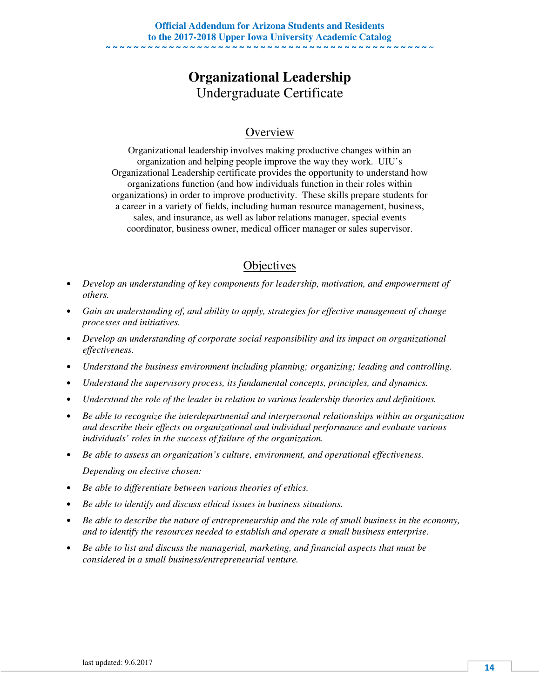# **Organizational Leadership**  Undergraduate Certificate

### **Overview**

Organizational leadership involves making productive changes within an organization and helping people improve the way they work. UIU's Organizational Leadership certificate provides the opportunity to understand how organizations function (and how individuals function in their roles within organizations) in order to improve productivity. These skills prepare students for a career in a variety of fields, including human resource management, business, sales, and insurance, as well as labor relations manager, special events coordinator, business owner, medical officer manager or sales supervisor.

- *Develop an understanding of key components for leadership, motivation, and empowerment of others.*
- *Gain an understanding of, and ability to apply, strategies for effective management of change processes and initiatives.*
- *Develop an understanding of corporate social responsibility and its impact on organizational effectiveness.*
- *Understand the business environment including planning; organizing; leading and controlling.*
- *Understand the supervisory process, its fundamental concepts, principles, and dynamics.*
- *Understand the role of the leader in relation to various leadership theories and definitions.*
- *Be able to recognize the interdepartmental and interpersonal relationships within an organization and describe their effects on organizational and individual performance and evaluate various individuals' roles in the success of failure of the organization.*
- *Be able to assess an organization's culture, environment, and operational effectiveness. Depending on elective chosen:*
- *Be able to differentiate between various theories of ethics.*
- *Be able to identify and discuss ethical issues in business situations.*
- *Be able to describe the nature of entrepreneurship and the role of small business in the economy, and to identify the resources needed to establish and operate a small business enterprise.*
- *Be able to list and discuss the managerial, marketing, and financial aspects that must be considered in a small business/entrepreneurial venture.*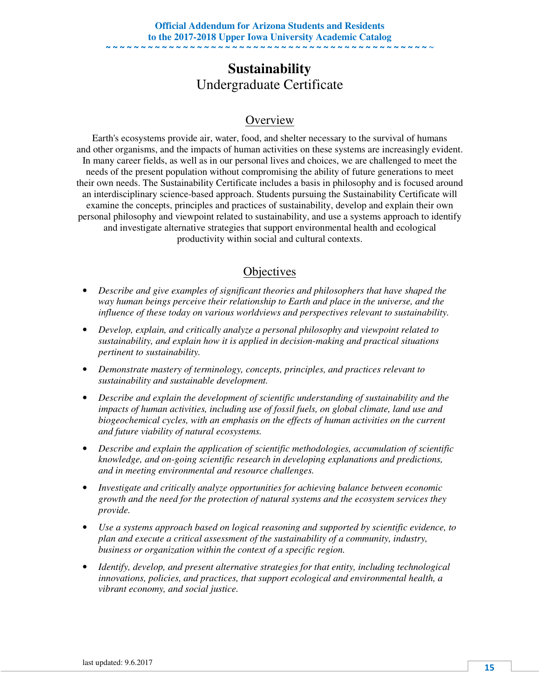### **Sustainability**  Undergraduate Certificate

### **Overview**

Earth's ecosystems provide air, water, food, and shelter necessary to the survival of humans and other organisms, and the impacts of human activities on these systems are increasingly evident. In many career fields, as well as in our personal lives and choices, we are challenged to meet the needs of the present population without compromising the ability of future generations to meet their own needs. The Sustainability Certificate includes a basis in philosophy and is focused around an interdisciplinary science-based approach. Students pursuing the Sustainability Certificate will examine the concepts, principles and practices of sustainability, develop and explain their own personal philosophy and viewpoint related to sustainability, and use a systems approach to identify and investigate alternative strategies that support environmental health and ecological productivity within social and cultural contexts.

- *Describe and give examples of significant theories and philosophers that have shaped the way human beings perceive their relationship to Earth and place in the universe, and the influence of these today on various worldviews and perspectives relevant to sustainability.*
- *Develop, explain, and critically analyze a personal philosophy and viewpoint related to sustainability, and explain how it is applied in decision-making and practical situations pertinent to sustainability.*
- *Demonstrate mastery of terminology, concepts, principles, and practices relevant to sustainability and sustainable development.*
- *Describe and explain the development of scientific understanding of sustainability and the impacts of human activities, including use of fossil fuels, on global climate, land use and biogeochemical cycles, with an emphasis on the effects of human activities on the current and future viability of natural ecosystems.*
- *Describe and explain the application of scientific methodologies, accumulation of scientific knowledge, and on-going scientific research in developing explanations and predictions, and in meeting environmental and resource challenges.*
- *Investigate and critically analyze opportunities for achieving balance between economic growth and the need for the protection of natural systems and the ecosystem services they provide.*
- *Use a systems approach based on logical reasoning and supported by scientific evidence, to plan and execute a critical assessment of the sustainability of a community, industry, business or organization within the context of a specific region.*
- *Identify, develop, and present alternative strategies for that entity, including technological innovations, policies, and practices, that support ecological and environmental health, a vibrant economy, and social justice.*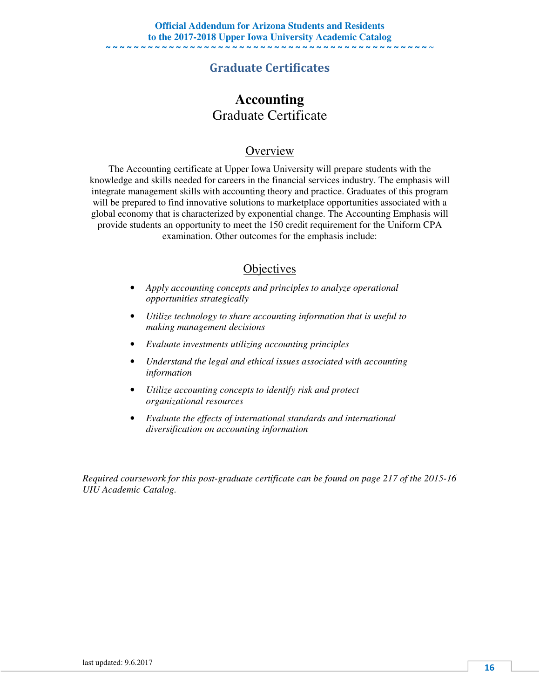### Graduate Certificates

### **Accounting**  Graduate Certificate

#### **Overview**

The Accounting certificate at Upper Iowa University will prepare students with the knowledge and skills needed for careers in the financial services industry. The emphasis will integrate management skills with accounting theory and practice. Graduates of this program will be prepared to find innovative solutions to marketplace opportunities associated with a global economy that is characterized by exponential change. The Accounting Emphasis will provide students an opportunity to meet the 150 credit requirement for the Uniform CPA examination. Other outcomes for the emphasis include:

#### **Objectives**

- *Apply accounting concepts and principles to analyze operational opportunities strategically*
- *Utilize technology to share accounting information that is useful to making management decisions*
- *Evaluate investments utilizing accounting principles*
- *Understand the legal and ethical issues associated with accounting information*
- *Utilize accounting concepts to identify risk and protect organizational resources*
- *Evaluate the effects of international standards and international diversification on accounting information*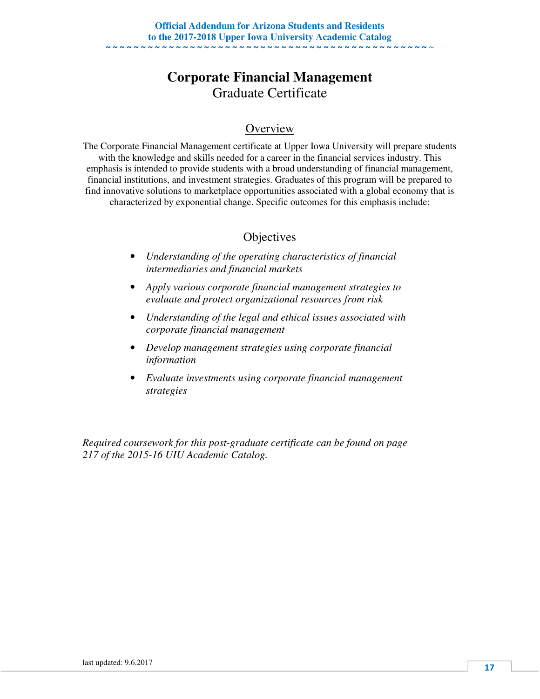# **Corporate Financial Management**  Graduate Certificate

### **Overview**

The Corporate Financial Management certificate at Upper Iowa University will prepare students with the knowledge and skills needed for a career in the financial services industry. This emphasis is intended to provide students with a broad understanding of financial management, financial institutions, and investment strategies. Graduates of this program will be prepared to find innovative solutions to marketplace opportunities associated with a global economy that is characterized by exponential change. Specific outcomes for this emphasis include:

### **Objectives**

- *Understanding of the operating characteristics of financial intermediaries and financial markets*
- *Apply various corporate financial management strategies to evaluate and protect organizational resources from risk*
- *Understanding of the legal and ethical issues associated with corporate financial management*
- *Develop management strategies using corporate financial information*
- *Evaluate investments using corporate financial management strategies*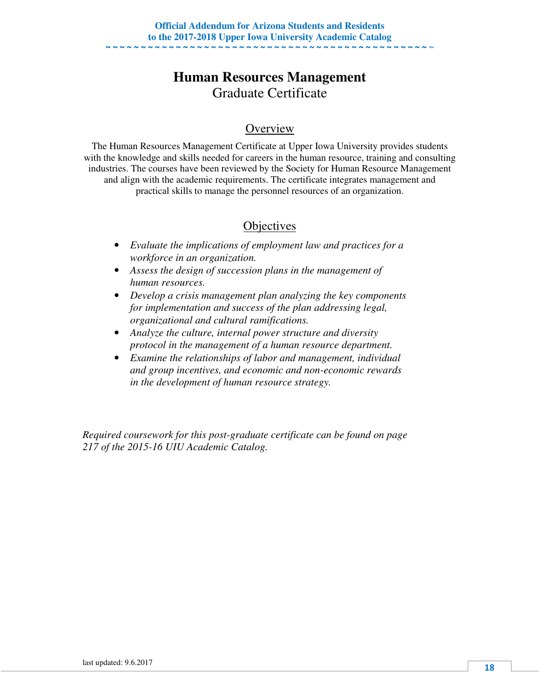# **Human Resources Management**  Graduate Certificate

### **Overview**

The Human Resources Management Certificate at Upper Iowa University provides students with the knowledge and skills needed for careers in the human resource, training and consulting industries. The courses have been reviewed by the Society for Human Resource Management and align with the academic requirements. The certificate integrates management and practical skills to manage the personnel resources of an organization.

### **Objectives**

- *Evaluate the implications of employment law and practices for a workforce in an organization.*
- *Assess the design of succession plans in the management of human resources.*
- *Develop a crisis management plan analyzing the key components for implementation and success of the plan addressing legal, organizational and cultural ramifications.*
- *Analyze the culture, internal power structure and diversity protocol in the management of a human resource department.*
- *Examine the relationships of labor and management, individual and group incentives, and economic and non-economic rewards in the development of human resource strategy.*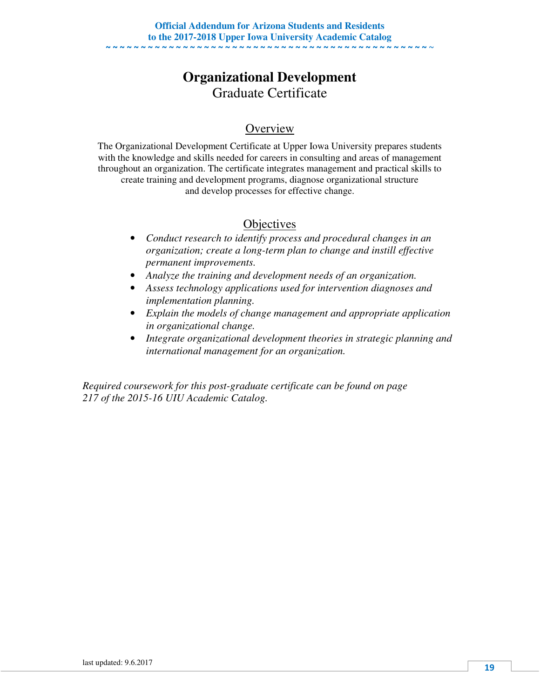# **Organizational Development**  Graduate Certificate

### **Overview**

The Organizational Development Certificate at Upper Iowa University prepares students with the knowledge and skills needed for careers in consulting and areas of management throughout an organization. The certificate integrates management and practical skills to create training and development programs, diagnose organizational structure and develop processes for effective change.

### **Objectives**

- *Conduct research to identify process and procedural changes in an organization; create a long-term plan to change and instill effective permanent improvements.*
- *Analyze the training and development needs of an organization.*
- *Assess technology applications used for intervention diagnoses and implementation planning.*
- *Explain the models of change management and appropriate application in organizational change.*
- *Integrate organizational development theories in strategic planning and international management for an organization.*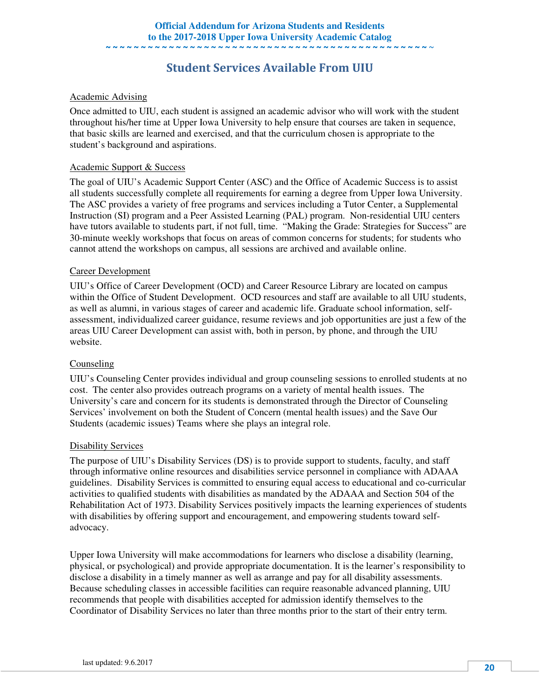### Student Services Available From UIU

#### Academic Advising

Once admitted to UIU, each student is assigned an academic advisor who will work with the student throughout his/her time at Upper Iowa University to help ensure that courses are taken in sequence, that basic skills are learned and exercised, and that the curriculum chosen is appropriate to the student's background and aspirations.

#### Academic Support & Success

The goal of UIU's Academic Support Center (ASC) and the Office of Academic Success is to assist all students successfully complete all requirements for earning a degree from Upper Iowa University. The ASC provides a variety of free programs and services including a Tutor Center, a Supplemental Instruction (SI) program and a Peer Assisted Learning (PAL) program. Non-residential UIU centers have tutors available to students part, if not full, time. "Making the Grade: Strategies for Success" are 30-minute weekly workshops that focus on areas of common concerns for students; for students who cannot attend the workshops on campus, all sessions are archived and available online.

#### Career Development

UIU's Office of Career Development (OCD) and Career Resource Library are located on campus within the Office of Student Development. OCD resources and staff are available to all UIU students, as well as alumni, in various stages of career and academic life. Graduate school information, selfassessment, individualized career guidance, resume reviews and job opportunities are just a few of the areas UIU Career Development can assist with, both in person, by phone, and through the UIU website.

#### Counseling

UIU's Counseling Center provides individual and group counseling sessions to enrolled students at no cost. The center also provides outreach programs on a variety of mental health issues. The University's care and concern for its students is demonstrated through the Director of Counseling Services' involvement on both the Student of Concern (mental health issues) and the Save Our Students (academic issues) Teams where she plays an integral role.

#### Disability Services

The purpose of UIU's Disability Services (DS) is to provide support to students, faculty, and staff through informative online resources and disabilities service personnel in compliance with ADAAA guidelines. Disability Services is committed to ensuring equal access to educational and co-curricular activities to qualified students with disabilities as mandated by the ADAAA and Section 504 of the Rehabilitation Act of 1973. Disability Services positively impacts the learning experiences of students with disabilities by offering support and encouragement, and empowering students toward selfadvocacy.

Upper Iowa University will make accommodations for learners who disclose a disability (learning, physical, or psychological) and provide appropriate documentation. It is the learner's responsibility to disclose a disability in a timely manner as well as arrange and pay for all disability assessments. Because scheduling classes in accessible facilities can require reasonable advanced planning, UIU recommends that people with disabilities accepted for admission identify themselves to the Coordinator of Disability Services no later than three months prior to the start of their entry term.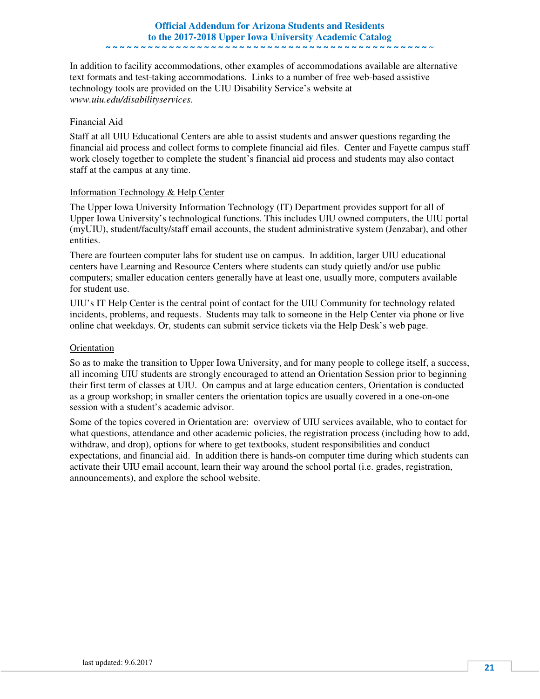#### **Official Addendum for Arizona Students and Residents to the 2017-2018 Upper Iowa University Academic Catalog**  ~ ~ ~ ~ ~ ~ ~ ~ ~ ~ ~ ~ ~ ~ ~ ~ ~ ~ ~ ~ ~ ~ ~ ~ ~ ~ ~ ~ ~ ~ ~ ~ ~ ~ ~ ~ ~ ~ ~ ~ ~ ~ ~ ~ ~ ~ ~

In addition to facility accommodations, other examples of accommodations available are alternative text formats and test-taking accommodations. Links to a number of free web-based assistive technology tools are provided on the UIU Disability Service's website at *www.uiu.edu/disabilityservices*.

#### Financial Aid

Staff at all UIU Educational Centers are able to assist students and answer questions regarding the financial aid process and collect forms to complete financial aid files. Center and Fayette campus staff work closely together to complete the student's financial aid process and students may also contact staff at the campus at any time.

#### Information Technology & Help Center

The Upper Iowa University Information Technology (IT) Department provides support for all of Upper Iowa University's technological functions. This includes UIU owned computers, the UIU portal (myUIU), student/faculty/staff email accounts, the student administrative system (Jenzabar), and other entities.

There are fourteen computer labs for student use on campus. In addition, larger UIU educational centers have Learning and Resource Centers where students can study quietly and/or use public computers; smaller education centers generally have at least one, usually more, computers available for student use.

UIU's IT Help Center is the central point of contact for the UIU Community for technology related incidents, problems, and requests. Students may talk to someone in the Help Center via phone or live online chat weekdays. Or, students can submit service tickets via the Help Desk's web page.

#### **Orientation**

So as to make the transition to Upper Iowa University, and for many people to college itself, a success, all incoming UIU students are strongly encouraged to attend an Orientation Session prior to beginning their first term of classes at UIU. On campus and at large education centers, Orientation is conducted as a group workshop; in smaller centers the orientation topics are usually covered in a one-on-one session with a student's academic advisor.

Some of the topics covered in Orientation are: overview of UIU services available, who to contact for what questions, attendance and other academic policies, the registration process (including how to add, withdraw, and drop), options for where to get textbooks, student responsibilities and conduct expectations, and financial aid. In addition there is hands-on computer time during which students can activate their UIU email account, learn their way around the school portal (i.e. grades, registration, announcements), and explore the school website.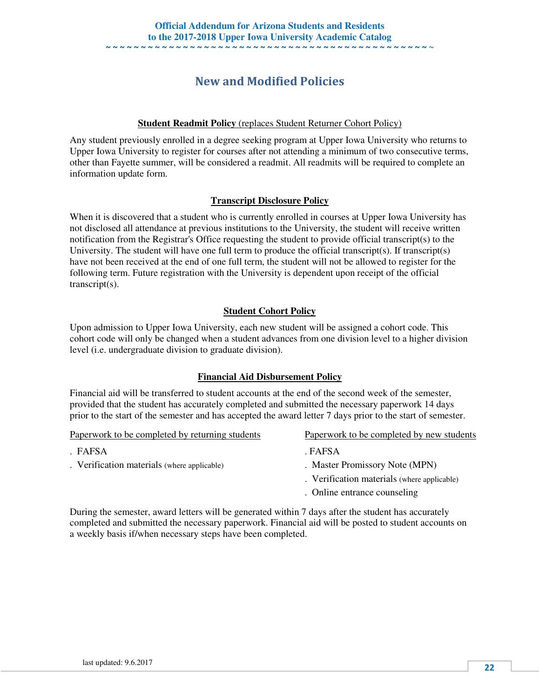## New and Modified Policies

#### **Student Readmit Policy** (replaces Student Returner Cohort Policy)

Any student previously enrolled in a degree seeking program at Upper Iowa University who returns to Upper Iowa University to register for courses after not attending a minimum of two consecutive terms, other than Fayette summer, will be considered a readmit. All readmits will be required to complete an information update form.

#### **Transcript Disclosure Policy**

When it is discovered that a student who is currently enrolled in courses at Upper Iowa University has not disclosed all attendance at previous institutions to the University, the student will receive written notification from the Registrar's Office requesting the student to provide official transcript(s) to the University. The student will have one full term to produce the official transcript(s). If transcript(s) have not been received at the end of one full term, the student will not be allowed to register for the following term. Future registration with the University is dependent upon receipt of the official transcript(s).

#### **Student Cohort Policy**

Upon admission to Upper Iowa University, each new student will be assigned a cohort code. This cohort code will only be changed when a student advances from one division level to a higher division level (i.e. undergraduate division to graduate division).

#### **Financial Aid Disbursement Policy**

Financial aid will be transferred to student accounts at the end of the second week of the semester, provided that the student has accurately completed and submitted the necessary paperwork 14 days prior to the start of the semester and has accepted the award letter 7 days prior to the start of semester.

Paperwork to be completed by returning students Paperwork to be completed by new students

- . FAFSA . FAFSA
- . Verification materials (where applicable) . Master Promissory Note (MPN)
- - . Verification materials (where applicable)
	- . Online entrance counseling

During the semester, award letters will be generated within 7 days after the student has accurately completed and submitted the necessary paperwork. Financial aid will be posted to student accounts on a weekly basis if/when necessary steps have been completed.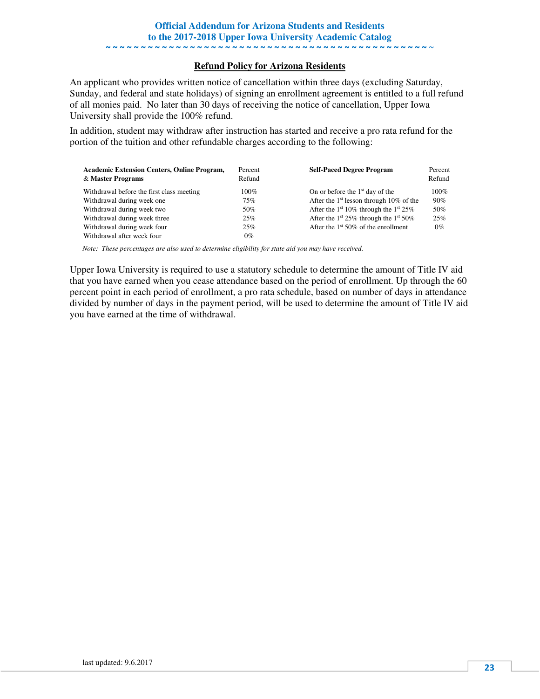#### **Refund Policy for Arizona Residents**

An applicant who provides written notice of cancellation within three days (excluding Saturday, Sunday, and federal and state holidays) of signing an enrollment agreement is entitled to a full refund of all monies paid. No later than 30 days of receiving the notice of cancellation, Upper Iowa University shall provide the 100% refund.

In addition, student may withdraw after instruction has started and receive a pro rata refund for the portion of the tuition and other refundable charges according to the following:

| <b>Academic Extension Centers, Online Program,</b><br>& Master Programs | Percent<br>Refund | <b>Self-Paced Degree Program</b>                              | Percent<br>Refund |
|-------------------------------------------------------------------------|-------------------|---------------------------------------------------------------|-------------------|
| Withdrawal before the first class meeting                               | 100%              | On or before the $1st$ day of the                             | $100\%$           |
| Withdrawal during week one                                              | 75%               | After the $1st$ lesson through 10% of the                     | 90%               |
| Withdrawal during week two                                              | 50%               | After the 1 <sup>st</sup> 10% through the 1 <sup>st</sup> 25% | 50%               |
| Withdrawal during week three                                            | 25%               | After the 1 <sup>st</sup> 25% through the 1 <sup>st</sup> 50% | 25%               |
| Withdrawal during week four                                             | 25%               | After the $1st 50\%$ of the enrollment                        | $0\%$             |
| Withdrawal after week four                                              | $0\%$             |                                                               |                   |

*Note: These percentages are also used to determine eligibility for state aid you may have received.* 

Upper Iowa University is required to use a statutory schedule to determine the amount of Title IV aid that you have earned when you cease attendance based on the period of enrollment. Up through the 60 percent point in each period of enrollment, a pro rata schedule, based on number of days in attendance divided by number of days in the payment period, will be used to determine the amount of Title IV aid you have earned at the time of withdrawal.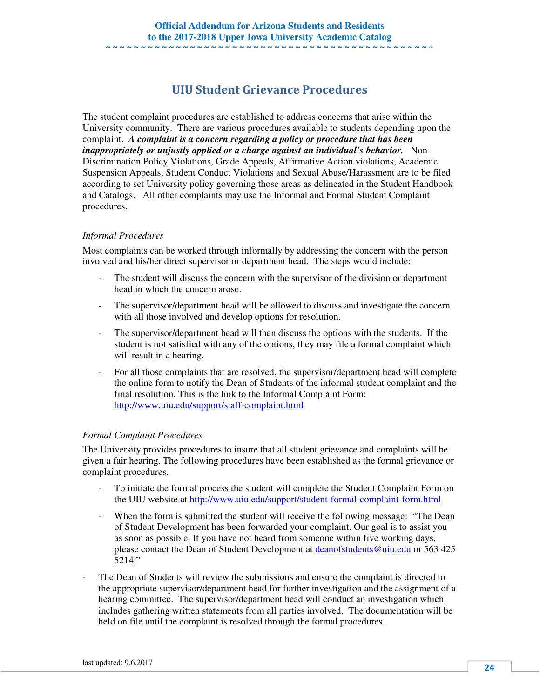### UIU Student Grievance Procedures

The student complaint procedures are established to address concerns that arise within the University community. There are various procedures available to students depending upon the complaint. *A complaint is a concern regarding a policy or procedure that has been inappropriately or unjustly applied or a charge against an individual's behavior.* Non-Discrimination Policy Violations, Grade Appeals, Affirmative Action violations, Academic Suspension Appeals, Student Conduct Violations and Sexual Abuse/Harassment are to be filed according to set University policy governing those areas as delineated in the Student Handbook and Catalogs. All other complaints may use the Informal and Formal Student Complaint procedures.

#### *Informal Procedures*

Most complaints can be worked through informally by addressing the concern with the person involved and his/her direct supervisor or department head. The steps would include:

- The student will discuss the concern with the supervisor of the division or department head in which the concern arose.
- The supervisor/department head will be allowed to discuss and investigate the concern with all those involved and develop options for resolution.
- The supervisor/department head will then discuss the options with the students. If the student is not satisfied with any of the options, they may file a formal complaint which will result in a hearing.
- For all those complaints that are resolved, the supervisor/department head will complete the online form to notify the Dean of Students of the informal student complaint and the final resolution. This is the link to the Informal Complaint Form: http://www.uiu.edu/support/staff-complaint.html

#### *Formal Complaint Procedures*

The University provides procedures to insure that all student grievance and complaints will be given a fair hearing. The following procedures have been established as the formal grievance or complaint procedures.

- To initiate the formal process the student will complete the Student Complaint Form on the UIU website at http://www.uiu.edu/support/student-formal-complaint-form.html
- When the form is submitted the student will receive the following message: "The Dean of Student Development has been forwarded your complaint. Our goal is to assist you as soon as possible. If you have not heard from someone within five working days, please contact the Dean of Student Development at deanofstudents@uiu.edu or 563 425 5214."
- The Dean of Students will review the submissions and ensure the complaint is directed to the appropriate supervisor/department head for further investigation and the assignment of a hearing committee. The supervisor/department head will conduct an investigation which includes gathering written statements from all parties involved. The documentation will be held on file until the complaint is resolved through the formal procedures.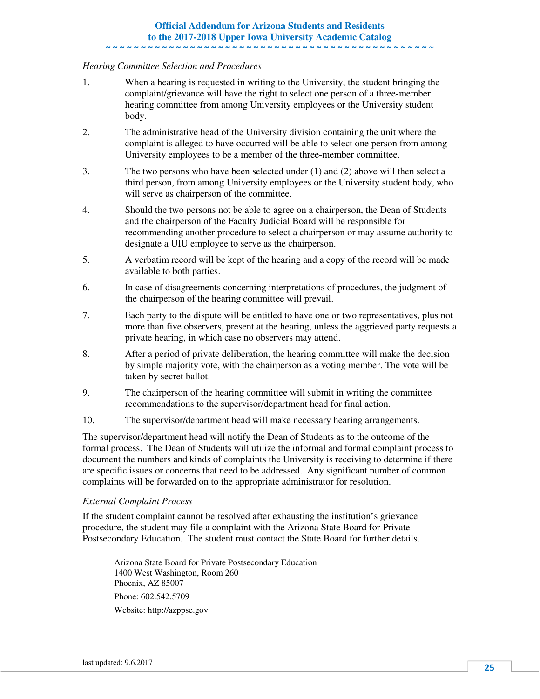#### **Official Addendum for Arizona Students and Residents to the 2017-2018 Upper Iowa University Academic Catalog**  ~ ~ ~ ~ ~ ~ ~ ~ ~ ~ ~ ~ ~ ~ ~ ~ ~ ~ ~ ~ ~ ~ ~ ~ ~ ~ ~ ~ ~ ~ ~ ~ ~ ~ ~ ~ ~ ~ ~ ~ ~ ~ ~ ~ ~ ~ ~

#### *Hearing Committee Selection and Procedures*

- 1. When a hearing is requested in writing to the University, the student bringing the complaint/grievance will have the right to select one person of a three-member hearing committee from among University employees or the University student body.
- 2. The administrative head of the University division containing the unit where the complaint is alleged to have occurred will be able to select one person from among University employees to be a member of the three-member committee.
- 3. The two persons who have been selected under (1) and (2) above will then select a third person, from among University employees or the University student body, who will serve as chairperson of the committee.
- 4. Should the two persons not be able to agree on a chairperson, the Dean of Students and the chairperson of the Faculty Judicial Board will be responsible for recommending another procedure to select a chairperson or may assume authority to designate a UIU employee to serve as the chairperson.
- 5. A verbatim record will be kept of the hearing and a copy of the record will be made available to both parties.
- 6. In case of disagreements concerning interpretations of procedures, the judgment of the chairperson of the hearing committee will prevail.
- 7. Each party to the dispute will be entitled to have one or two representatives, plus not more than five observers, present at the hearing, unless the aggrieved party requests a private hearing, in which case no observers may attend.
- 8. After a period of private deliberation, the hearing committee will make the decision by simple majority vote, with the chairperson as a voting member. The vote will be taken by secret ballot.
- 9. The chairperson of the hearing committee will submit in writing the committee recommendations to the supervisor/department head for final action.
- 10. The supervisor/department head will make necessary hearing arrangements.

The supervisor/department head will notify the Dean of Students as to the outcome of the formal process. The Dean of Students will utilize the informal and formal complaint process to document the numbers and kinds of complaints the University is receiving to determine if there are specific issues or concerns that need to be addressed. Any significant number of common complaints will be forwarded on to the appropriate administrator for resolution.

#### *External Complaint Process*

If the student complaint cannot be resolved after exhausting the institution's grievance procedure, the student may file a complaint with the Arizona State Board for Private Postsecondary Education. The student must contact the State Board for further details.

 Arizona State Board for Private Postsecondary Education 1400 West Washington, Room 260 Phoenix, AZ 85007 Phone: 602.542.5709 Website: http://azppse.gov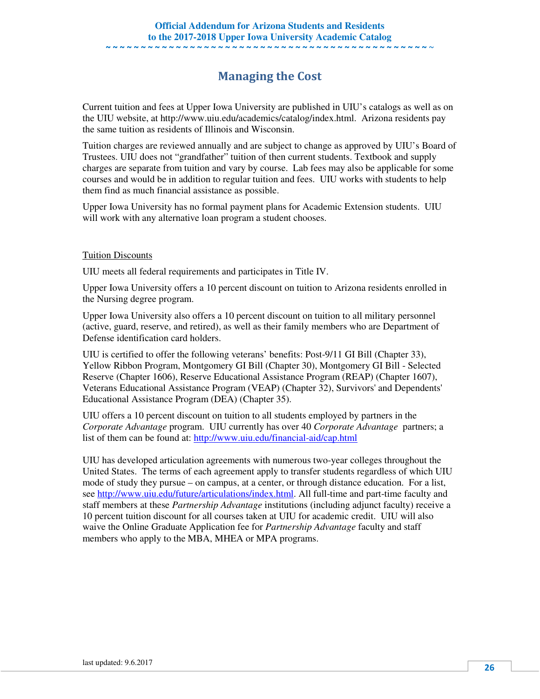### Managing the Cost

Current tuition and fees at Upper Iowa University are published in UIU's catalogs as well as on the UIU website, at http://www.uiu.edu/academics/catalog/index.html. Arizona residents pay the same tuition as residents of Illinois and Wisconsin.

Tuition charges are reviewed annually and are subject to change as approved by UIU's Board of Trustees. UIU does not "grandfather" tuition of then current students. Textbook and supply charges are separate from tuition and vary by course. Lab fees may also be applicable for some courses and would be in addition to regular tuition and fees. UIU works with students to help them find as much financial assistance as possible.

Upper Iowa University has no formal payment plans for Academic Extension students. UIU will work with any alternative loan program a student chooses.

#### Tuition Discounts

UIU meets all federal requirements and participates in Title IV.

Upper Iowa University offers a 10 percent discount on tuition to Arizona residents enrolled in the Nursing degree program.

Upper Iowa University also offers a 10 percent discount on tuition to all military personnel (active, guard, reserve, and retired), as well as their family members who are Department of Defense identification card holders.

UIU is certified to offer the following veterans' benefits: Post-9/11 GI Bill (Chapter 33), Yellow Ribbon Program, Montgomery GI Bill (Chapter 30), Montgomery GI Bill - Selected Reserve (Chapter 1606), Reserve Educational Assistance Program (REAP) (Chapter 1607), Veterans Educational Assistance Program (VEAP) (Chapter 32), Survivors' and Dependents' Educational Assistance Program (DEA) (Chapter 35).

UIU offers a 10 percent discount on tuition to all students employed by partners in the *Corporate Advantage* program. UIU currently has over 40 *Corporate Advantage* partners; a list of them can be found at: http://www.uiu.edu/financial-aid/cap.html

UIU has developed articulation agreements with numerous two-year colleges throughout the United States. The terms of each agreement apply to transfer students regardless of which UIU mode of study they pursue – on campus, at a center, or through distance education. For a list, see http://www.uiu.edu/future/articulations/index.html. All full-time and part-time faculty and staff members at these *Partnership Advantage* institutions (including adjunct faculty) receive a 10 percent tuition discount for all courses taken at UIU for academic credit. UIU will also waive the Online Graduate Application fee for *Partnership Advantage* faculty and staff members who apply to the MBA, MHEA or MPA programs.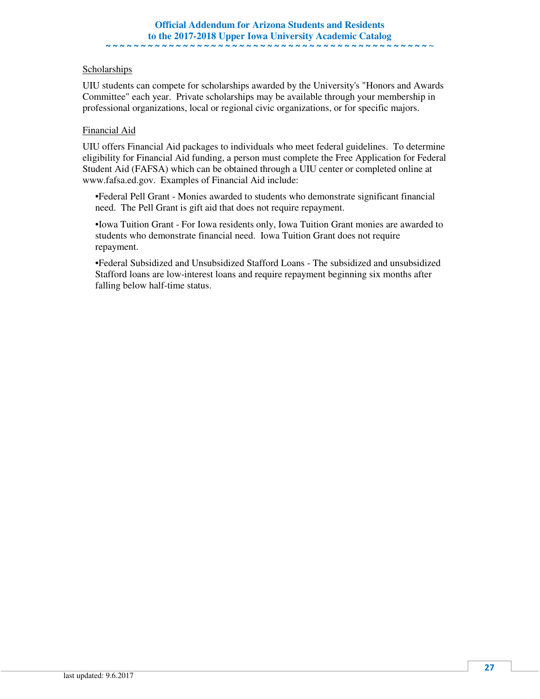#### **Scholarships**

UIU students can compete for scholarships awarded by the University's "Honors and Awards Committee" each year. Private scholarships may be available through your membership in professional organizations, local or regional civic organizations, or for specific majors.

#### Financial Aid

UIU offers Financial Aid packages to individuals who meet federal guidelines. To determine eligibility for Financial Aid funding, a person must complete the Free Application for Federal Student Aid (FAFSA) which can be obtained through a UIU center or completed online at www.fafsa.ed.gov. Examples of Financial Aid include:

•Federal Pell Grant - Monies awarded to students who demonstrate significant financial need. The Pell Grant is gift aid that does not require repayment.

•Iowa Tuition Grant - For Iowa residents only, Iowa Tuition Grant monies are awarded to students who demonstrate financial need. Iowa Tuition Grant does not require repayment.

•Federal Subsidized and Unsubsidized Stafford Loans - The subsidized and unsubsidized Stafford loans are low-interest loans and require repayment beginning six months after falling below half-time status.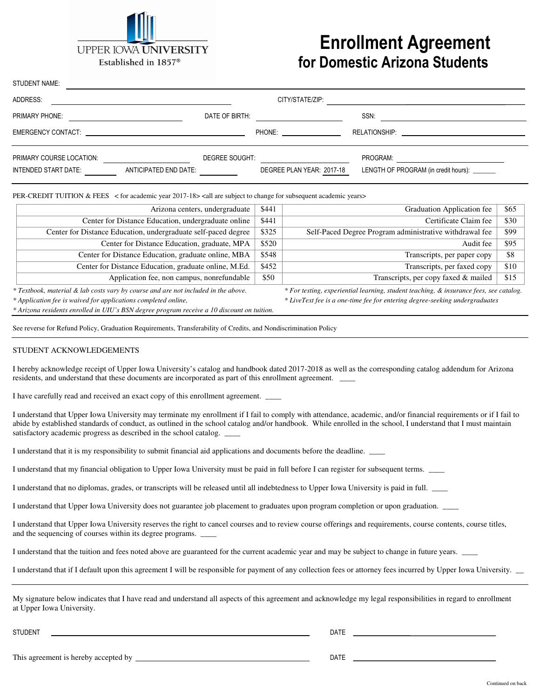

# Enrollment Agreement for Domestic Arizona Students

| STUDENT NAME:            |                       |                           |                                                        |
|--------------------------|-----------------------|---------------------------|--------------------------------------------------------|
| ADDRESS:                 |                       | CITY/STATE/ZIP:           |                                                        |
| PRIMARY PHONE:           | DATE OF BIRTH:        |                           | SSN:                                                   |
|                          |                       | <b>PHONE:</b>             | RELATIONSHIP: WELL ARE AN ARREST AND THE RELATIONSHIP: |
| PRIMARY COURSE LOCATION: | DEGREE SOUGHT:        |                           | PROGRAM:                                               |
| INTENDED START DATE:     | ANTICIPATED END DATE: | DEGREE PLAN YEAR: 2017-18 | LENGTH OF PROGRAM (in credit hours): _______           |

PER-CREDIT TUITION  $&$  FEES  $\leq$  for academic year 2017-18 $\geq$  call are subject to change for subsequent academic years $\geq$ 

| Arizona centers, undergraduate                                                     | \$441 | Graduation Application fee                                                             | \$65 |
|------------------------------------------------------------------------------------|-------|----------------------------------------------------------------------------------------|------|
| Center for Distance Education, undergraduate online                                | \$441 | Certificate Claim fee                                                                  | \$30 |
| Center for Distance Education, undergraduate self-paced degree                     | \$325 | Self-Paced Degree Program administrative withdrawal fee                                | \$99 |
| Center for Distance Education, graduate, MPA                                       | \$520 | Audit fee                                                                              | \$95 |
| Center for Distance Education, graduate online, MBA                                | \$548 | Transcripts, per paper copy                                                            | \$8  |
| Center for Distance Education, graduate online, M.Ed.                              | \$452 | Transcripts, per faxed copy                                                            | \$10 |
| Application fee, non campus, nonrefundable                                         | \$50  | Transcripts, per copy faxed & mailed                                                   | \$15 |
| * Textbook, material & lab costs vary by course and are not included in the above. |       | * For testing, experiential learning, student teaching, & insurance fees, see catalog. |      |
|                                                                                    |       |                                                                                        |      |

*\* Arizona residents enrolled in UIU's BSN degree program receive a 10 discount on tuition.* 

*\* Application fee is waived for applications completed online, \* LiveText fee is a one-time fee for entering degree-seeking undergraduates* 

See reverse for Refund Policy, Graduation Requirements, Transferability of Credits, and Nondiscrimination Policy

#### STUDENT ACKNOWLEDGEMENTS

I hereby acknowledge receipt of Upper Iowa University's catalog and handbook dated 2017-2018 as well as the corresponding catalog addendum for Arizona residents, and understand that these documents are incorporated as part of this enrollment agreement.

I have carefully read and received an exact copy of this enrollment agreement.  $\Box$ 

I understand that Upper Iowa University may terminate my enrollment if I fail to comply with attendance, academic, and/or financial requirements or if I fail to abide by established standards of conduct, as outlined in the school catalog and/or handbook. While enrolled in the school, I understand that I must maintain satisfactory academic progress as described in the school catalog.

I understand that it is my responsibility to submit financial aid applications and documents before the deadline. \_\_\_\_

I understand that my financial obligation to Upper Iowa University must be paid in full before I can register for subsequent terms. \_\_\_\_

I understand that no diplomas, grades, or transcripts will be released until all indebtedness to Upper Iowa University is paid in full. \_\_\_\_

I understand that Upper Iowa University does not guarantee job placement to graduates upon program completion or upon graduation. \_\_\_\_

I understand that Upper Iowa University reserves the right to cancel courses and to review course offerings and requirements, course contents, course titles, and the sequencing of courses within its degree programs.  $\overline{\phantom{a}}$ 

I understand that the tuition and fees noted above are guaranteed for the current academic year and may be subject to change in future years.

I understand that if I default upon this agreement I will be responsible for payment of any collection fees or attorney fees incurred by Upper Iowa University.

My signature below indicates that I have read and understand all aspects of this agreement and acknowledge my legal responsibilities in regard to enrollment at Upper Iowa University.

STUDENT DATE

This agreement is hereby accepted by DATE